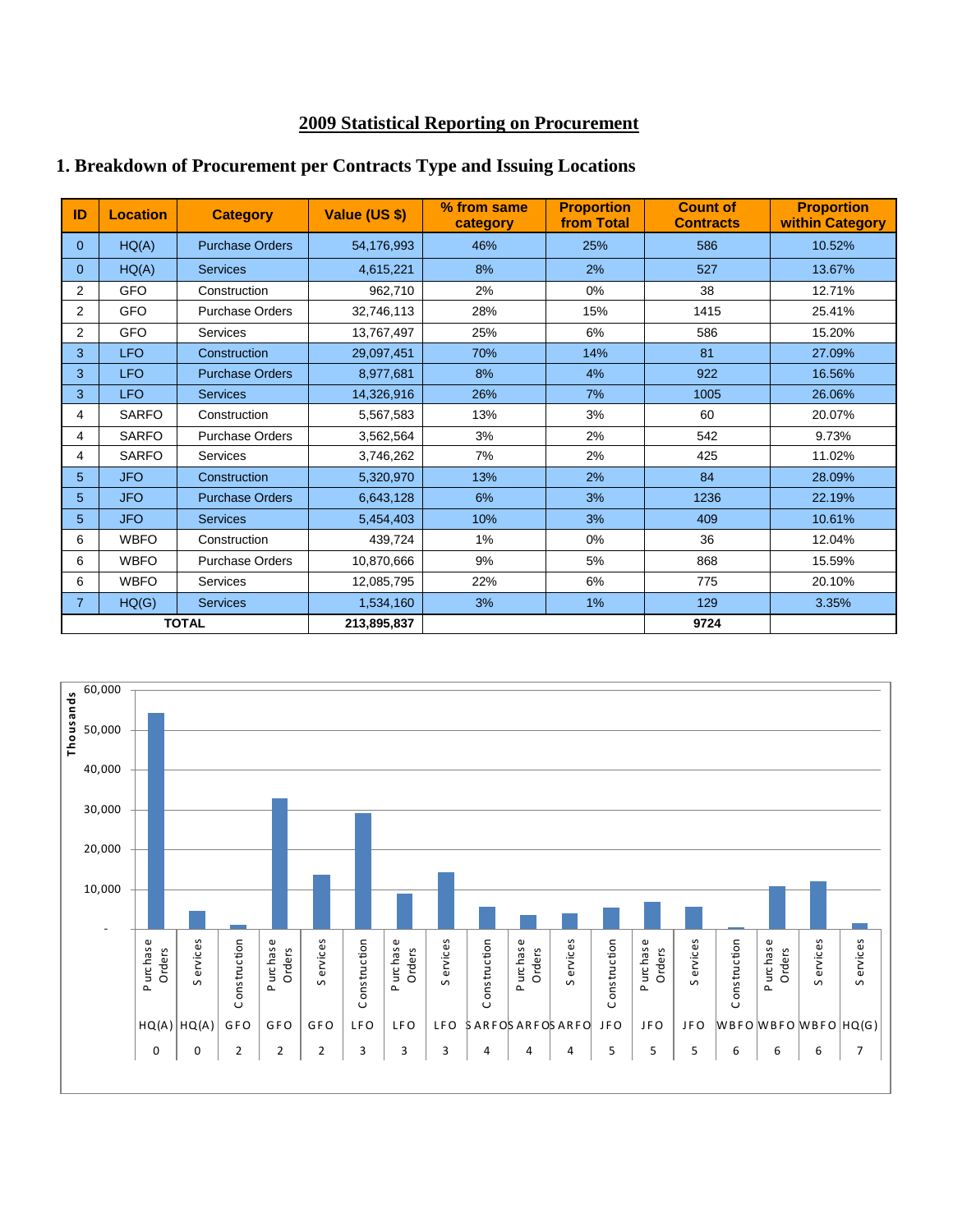#### **2009 Statistical Reporting on Procurement**

| ID             | <b>Location</b> | <b>Category</b>        | Value (US \$) | % from same<br>category | <b>Proportion</b><br>from Total | <b>Count of</b><br><b>Contracts</b> | <b>Proportion</b><br>within Category |
|----------------|-----------------|------------------------|---------------|-------------------------|---------------------------------|-------------------------------------|--------------------------------------|
| $\Omega$       | HQ(A)           | <b>Purchase Orders</b> | 54,176,993    | 46%                     | 25%                             | 586                                 | 10.52%                               |
| 0              | HQ(A)           | <b>Services</b>        | 4,615,221     | 8%                      | 2%                              | 527                                 | 13.67%                               |
| $\overline{2}$ | <b>GFO</b>      | Construction           | 962,710       | 2%                      | 0%                              | 38                                  | 12.71%                               |
| 2              | <b>GFO</b>      | <b>Purchase Orders</b> | 32,746,113    | 28%                     | 15%                             | 1415                                | 25.41%                               |
| 2              | <b>GFO</b>      | <b>Services</b>        | 13,767,497    | 25%                     | 6%                              | 586                                 | 15.20%                               |
| 3              | <b>LFO</b>      | Construction           | 29,097,451    | 70%                     | 14%                             | 81                                  | 27.09%                               |
| 3              | <b>LFO</b>      | <b>Purchase Orders</b> | 8,977,681     | 8%                      | 4%                              | 922                                 | 16.56%                               |
| 3              | <b>LFO</b>      | <b>Services</b>        | 14,326,916    | 26%                     | 7%                              | 1005                                | 26.06%                               |
| 4              | <b>SARFO</b>    | Construction           | 5,567,583     | 13%                     | 3%                              | 60                                  | 20.07%                               |
| 4              | <b>SARFO</b>    | <b>Purchase Orders</b> | 3,562,564     | 3%                      | 2%                              | 542                                 | 9.73%                                |
| 4              | <b>SARFO</b>    | <b>Services</b>        | 3,746,262     | 7%                      | 2%                              | 425                                 | 11.02%                               |
| 5              | <b>JFO</b>      | Construction           | 5,320,970     | 13%                     | 2%                              | 84                                  | 28.09%                               |
| 5              | <b>JFO</b>      | <b>Purchase Orders</b> | 6,643,128     | 6%                      | 3%                              | 1236                                | 22.19%                               |
| 5              | <b>JFO</b>      | <b>Services</b>        | 5,454,403     | 10%                     | 3%                              | 409                                 | 10.61%                               |
| 6              | <b>WBFO</b>     | Construction           | 439,724       | $1\%$                   | 0%                              | 36                                  | 12.04%                               |
| 6              | <b>WBFO</b>     | <b>Purchase Orders</b> | 10.870.666    | 9%                      | 5%                              | 868                                 | 15.59%                               |
| 6              | <b>WBFO</b>     | <b>Services</b>        | 12,085,795    | 22%                     | 6%                              | 775                                 | 20.10%                               |
| 7.             | HQ(G)           | <b>Services</b>        | 1,534,160     | 3%                      | 1%                              | 129                                 | 3.35%                                |
| <b>TOTAL</b>   |                 | 213,895,837            |               |                         | 9724                            |                                     |                                      |

#### **1. Breakdown of Procurement per Contracts Type and Issuing Locations**

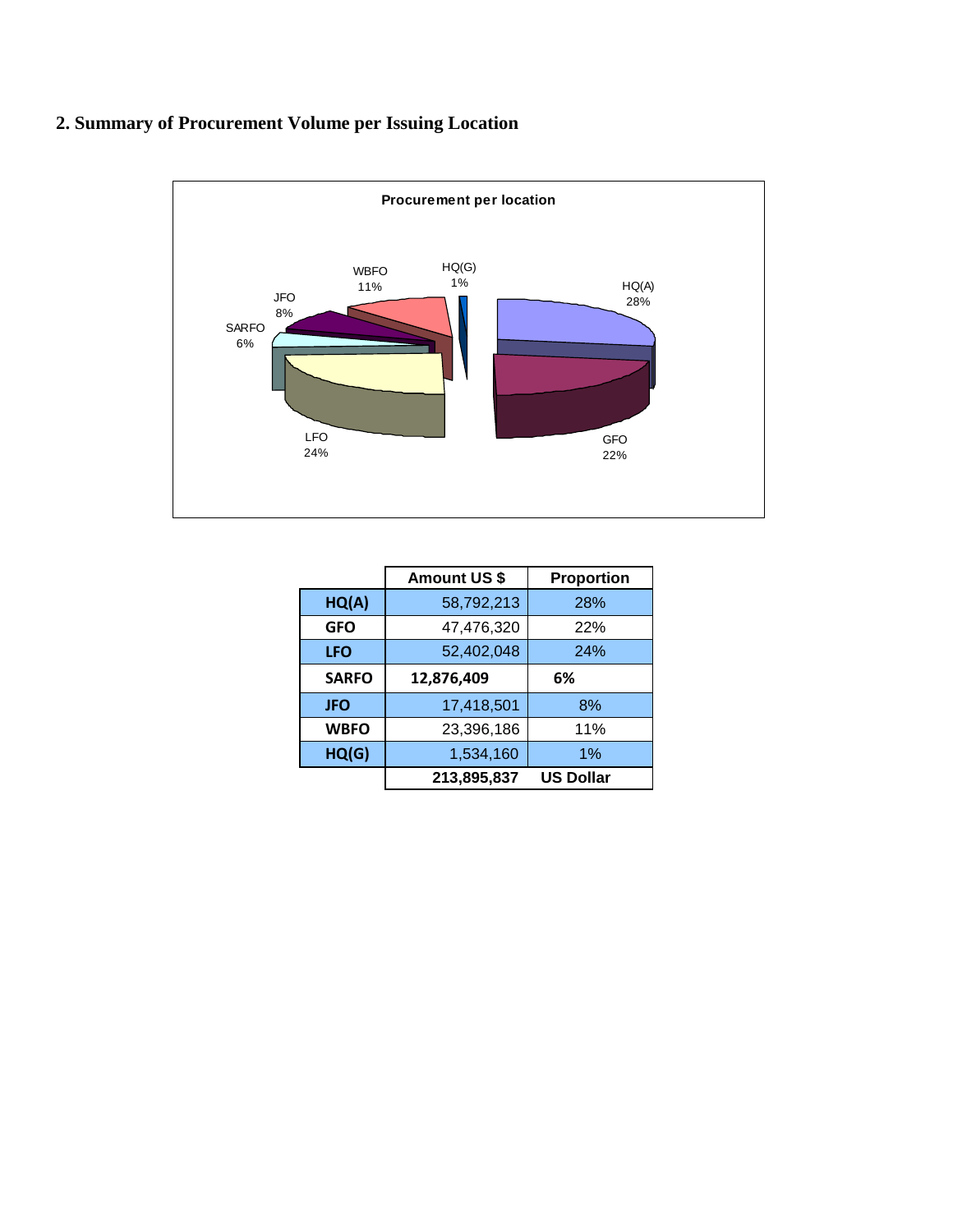### **2. Summary of Procurement Volume per Issuing Location**



|              | <b>Amount US \$</b> | <b>Proportion</b> |
|--------------|---------------------|-------------------|
| HQ(A)        | 58,792,213          | 28%               |
| <b>GFO</b>   | 47,476,320          | 22%               |
| <b>LFO</b>   | 52,402,048          | 24%               |
| <b>SARFO</b> | 12,876,409          | 6%                |
| <b>JFO</b>   | 17,418,501          | 8%                |
| <b>WBFO</b>  | 23,396,186          | 11%               |
| HQ(G)        | 1,534,160           | 1%                |
|              | 213,895,837         | <b>US Dollar</b>  |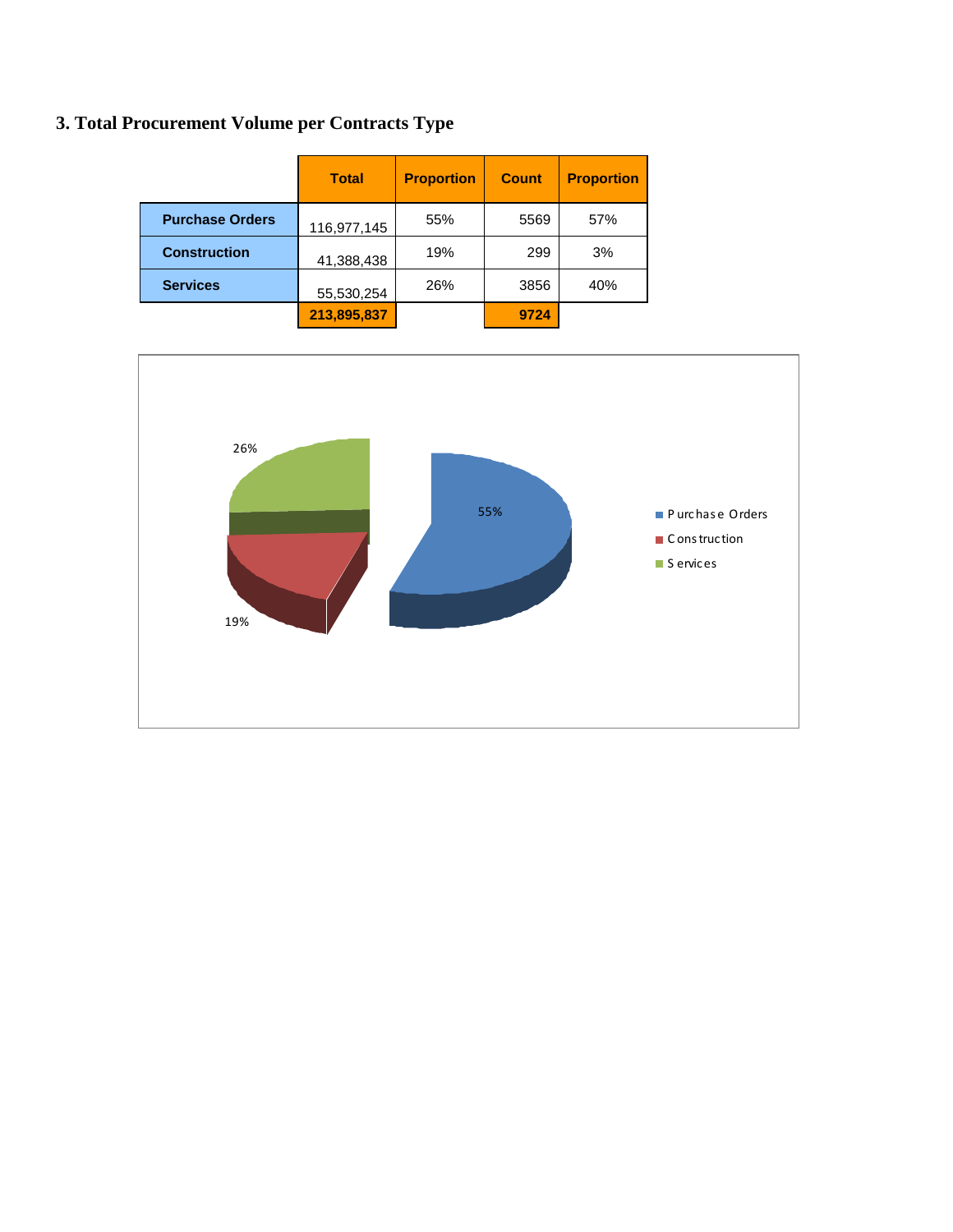# 3. Total Procurement Volume per Contracts Type

|                        | <b>Total</b> | <b>Proportion</b> | <b>Count</b> | <b>Proportion</b> |
|------------------------|--------------|-------------------|--------------|-------------------|
| <b>Purchase Orders</b> | 116,977,145  | 55%               | 5569         | 57%               |
| <b>Construction</b>    | 41,388,438   | 19%               | 299          | 3%                |
| <b>Services</b>        | 55,530,254   | 26%               | 3856         | 40%               |
|                        | 213,895,837  |                   | 9724         |                   |

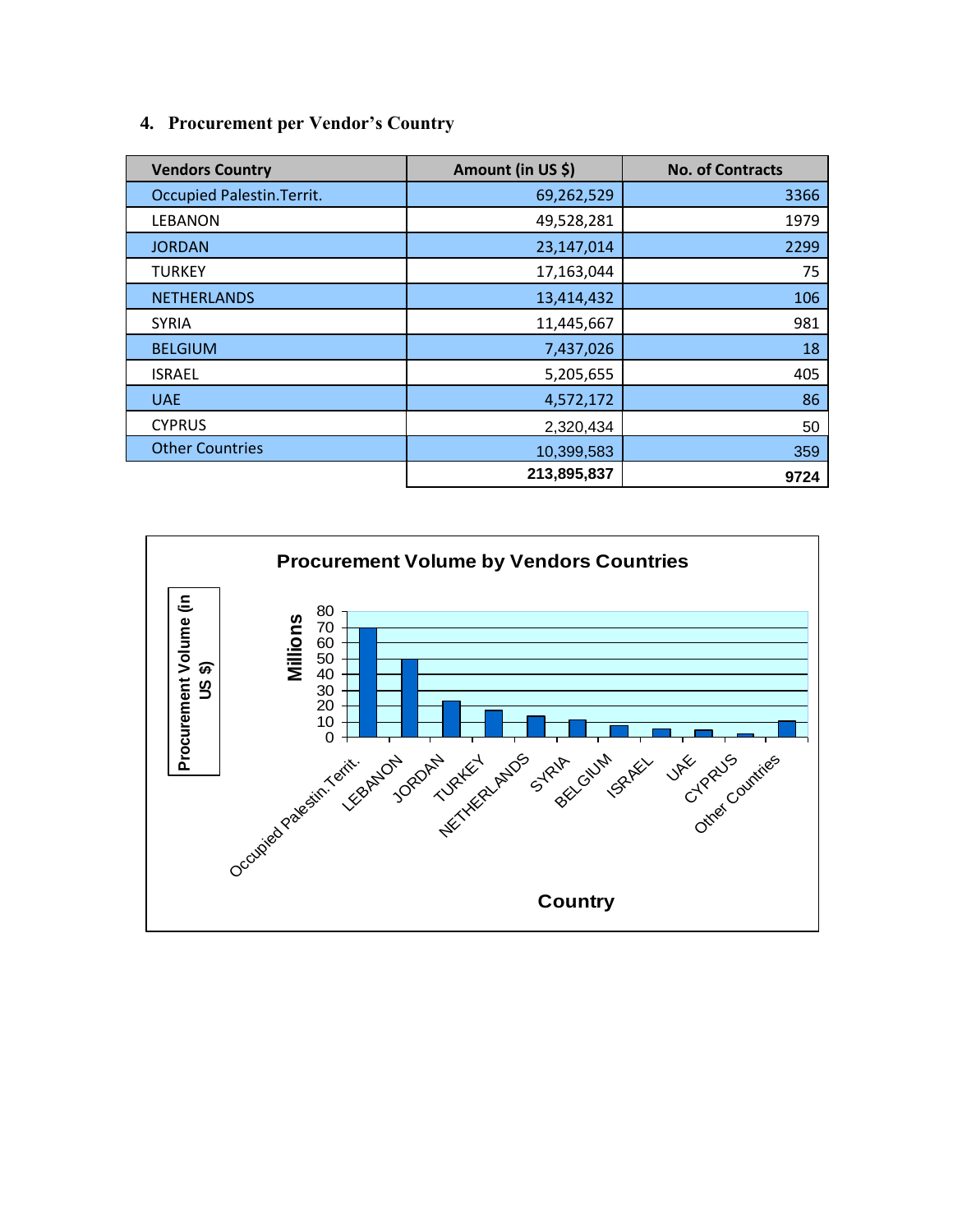### **4. Procurement per Vendor's Country**

| <b>Vendors Country</b>            | Amount (in US \$) | <b>No. of Contracts</b> |
|-----------------------------------|-------------------|-------------------------|
| <b>Occupied Palestin. Territ.</b> | 69,262,529        | 3366                    |
| <b>LEBANON</b>                    | 49,528,281        | 1979                    |
| <b>JORDAN</b>                     | 23,147,014        | 2299                    |
| <b>TURKEY</b>                     | 17,163,044        | 75                      |
| <b>NETHERLANDS</b>                | 13,414,432        | 106                     |
| <b>SYRIA</b>                      | 11,445,667        | 981                     |
| <b>BELGIUM</b>                    | 7,437,026         | 18                      |
| <b>ISRAEL</b>                     | 5,205,655         | 405                     |
| <b>UAE</b>                        | 4,572,172         | 86                      |
| <b>CYPRUS</b>                     | 2,320,434         | 50                      |
| <b>Other Countries</b>            | 10,399,583        | 359                     |
|                                   | 213,895,837       | 9724                    |

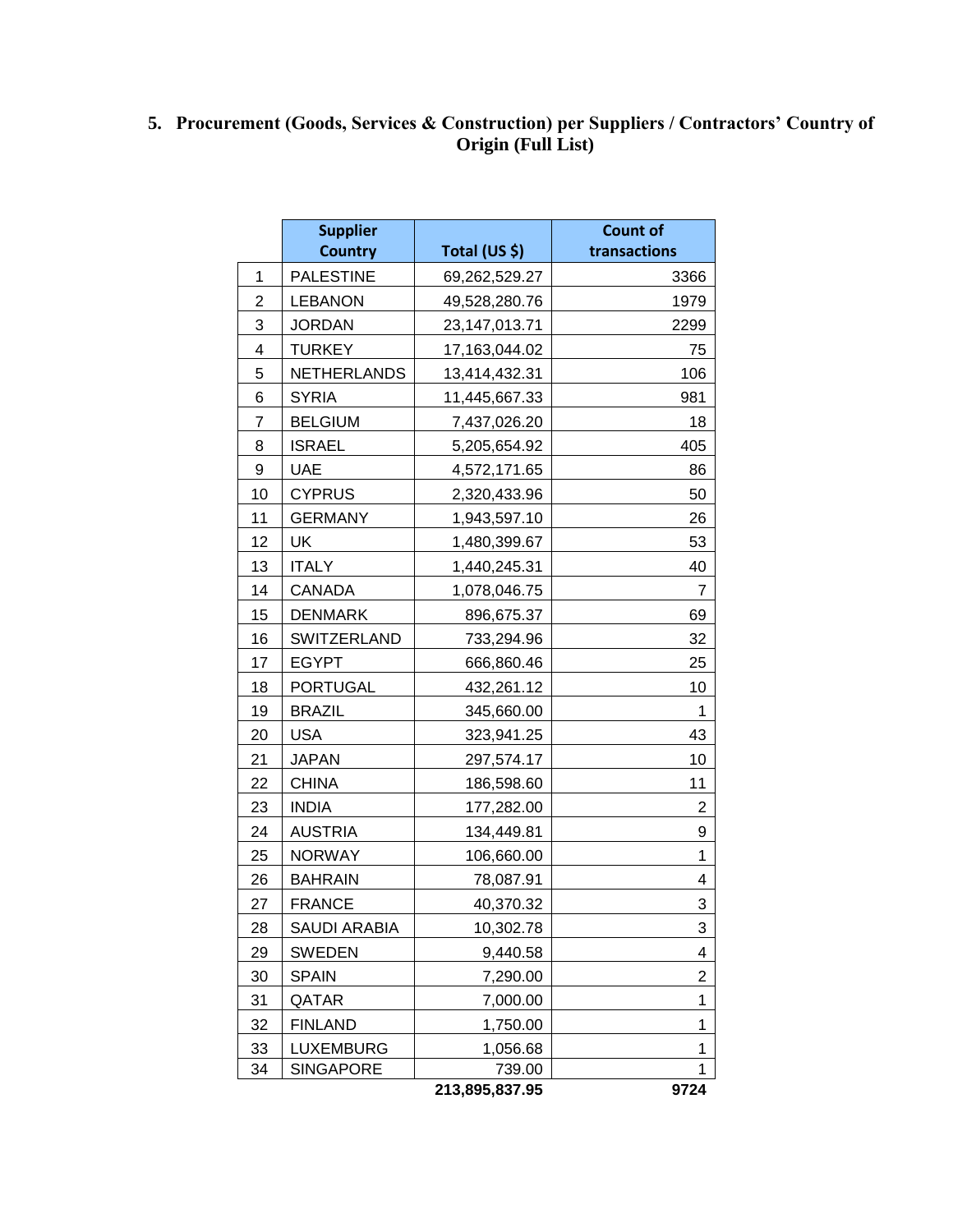#### **5. Procurement (Goods, Services & Construction) per Suppliers / Contractors' Country of Origin (Full List)**

|                         | <b>Supplier</b>    |                | <b>Count of</b> |  |
|-------------------------|--------------------|----------------|-----------------|--|
|                         | <b>Country</b>     | Total (US \$)  | transactions    |  |
| 1                       | <b>PALESTINE</b>   | 69,262,529.27  | 3366            |  |
| 2                       | <b>LEBANON</b>     | 49,528,280.76  | 1979            |  |
| 3                       | <b>JORDAN</b>      | 23,147,013.71  | 2299            |  |
| $\overline{\mathbf{4}}$ | <b>TURKEY</b>      | 17,163,044.02  | 75              |  |
| 5                       | <b>NETHERLANDS</b> | 13,414,432.31  | 106             |  |
| 6                       | <b>SYRIA</b>       | 11,445,667.33  | 981             |  |
| 7                       | <b>BELGIUM</b>     | 7,437,026.20   | 18              |  |
| 8                       | <b>ISRAEL</b>      | 5,205,654.92   | 405             |  |
| 9                       | <b>UAE</b>         | 4,572,171.65   | 86              |  |
| 10                      | <b>CYPRUS</b>      | 2,320,433.96   | 50              |  |
| 11                      | <b>GERMANY</b>     | 1,943,597.10   | 26              |  |
| 12                      | UK                 | 1,480,399.67   | 53              |  |
| 13                      | <b>ITALY</b>       | 1,440,245.31   | 40              |  |
| 14                      | CANADA             | 1,078,046.75   | 7               |  |
| 15                      | <b>DENMARK</b>     | 896,675.37     | 69              |  |
| 16                      | SWITZERLAND        | 733,294.96     | 32              |  |
| 17                      | <b>EGYPT</b>       | 666,860.46     | 25              |  |
| 18                      | <b>PORTUGAL</b>    | 432,261.12     | 10              |  |
| 19                      | <b>BRAZIL</b>      | 345,660.00     | 1               |  |
| 20                      | <b>USA</b>         | 323,941.25     | 43              |  |
| 21                      | <b>JAPAN</b>       | 297,574.17     | 10              |  |
| 22                      | <b>CHINA</b>       | 186,598.60     | 11              |  |
| 23                      | <b>INDIA</b>       | 177,282.00     | 2               |  |
| 24                      | <b>AUSTRIA</b>     | 134,449.81     | 9               |  |
| 25                      | <b>NORWAY</b>      | 106,660.00     | 1               |  |
| 26                      | <b>BAHRAIN</b>     | 78,087.91      | 4               |  |
| 27                      | <b>FRANCE</b>      | 40,370.32      | 3               |  |
| 28                      | SAUDI ARABIA       | 10,302.78      | 3               |  |
| 29                      | <b>SWEDEN</b>      | 9,440.58       | 4               |  |
| 30                      | <b>SPAIN</b>       | 7,290.00       | $\overline{2}$  |  |
| 31                      | QATAR              | 7,000.00       | 1               |  |
| 32                      | <b>FINLAND</b>     | 1,750.00       | 1               |  |
| 33                      | <b>LUXEMBURG</b>   | 1,056.68       | 1               |  |
| 34                      | <b>SINGAPORE</b>   | 739.00         | 1               |  |
|                         |                    | 213,895,837.95 | 9724            |  |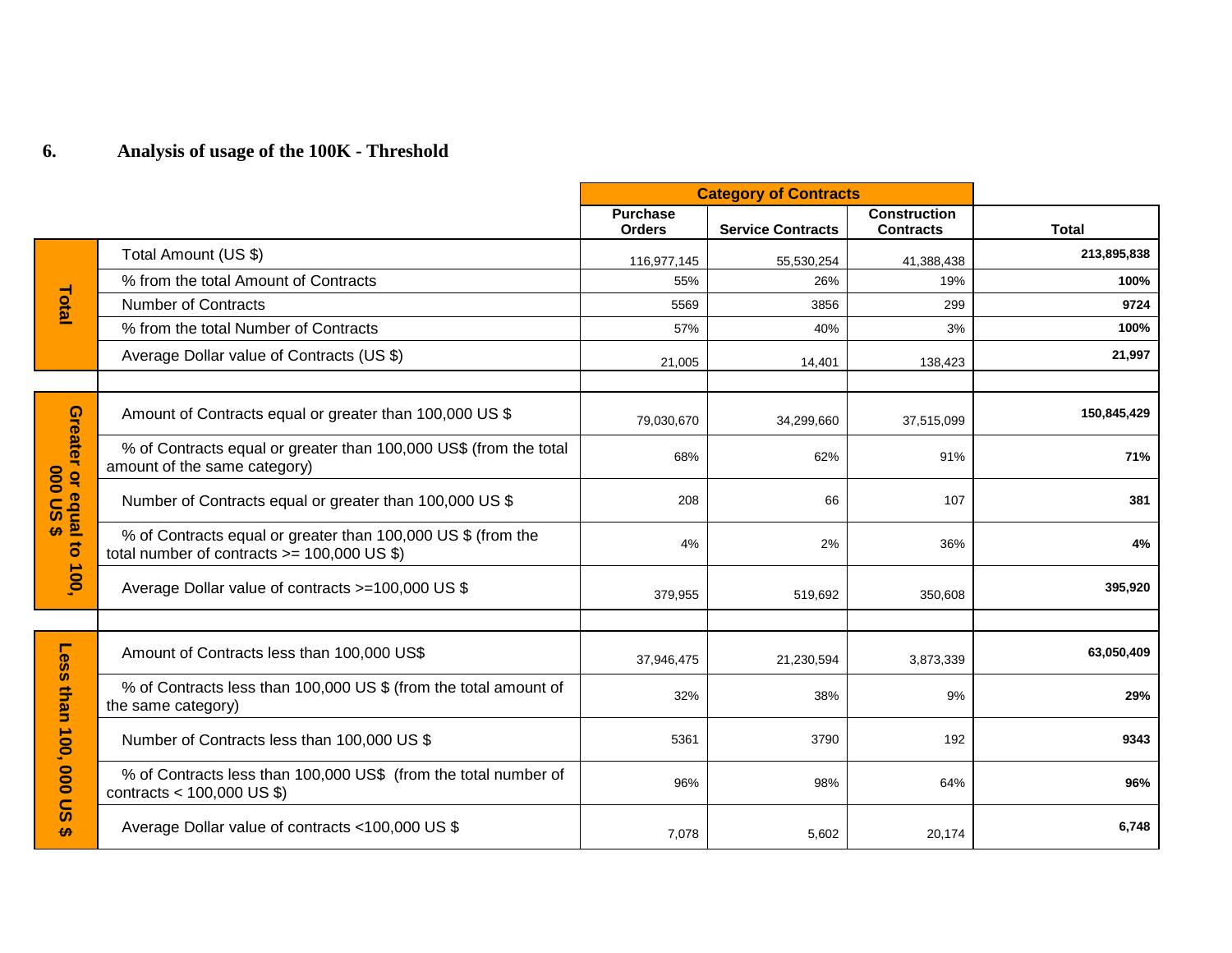# **6. Analysis of usage of the 100K - Threshold**

|                                                    |                                                                                                                  | <b>Category of Contracts</b>     |                          |                                         |              |
|----------------------------------------------------|------------------------------------------------------------------------------------------------------------------|----------------------------------|--------------------------|-----------------------------------------|--------------|
|                                                    |                                                                                                                  | <b>Purchase</b><br><b>Orders</b> | <b>Service Contracts</b> | <b>Construction</b><br><b>Contracts</b> | <b>Total</b> |
| Total                                              | Total Amount (US \$)                                                                                             | 116,977,145                      | 55,530,254               | 41,388,438                              | 213,895,838  |
|                                                    | % from the total Amount of Contracts                                                                             | 55%                              | 26%                      | 19%                                     | 100%         |
|                                                    | <b>Number of Contracts</b>                                                                                       | 5569                             | 3856                     | 299                                     | 9724         |
|                                                    | % from the total Number of Contracts                                                                             | 57%                              | 40%                      | 3%                                      | 100%         |
|                                                    | Average Dollar value of Contracts (US \$)                                                                        | 21,005                           | 14,401                   | 138,423                                 | 21,997       |
|                                                    |                                                                                                                  |                                  |                          |                                         |              |
|                                                    | Amount of Contracts equal or greater than 100,000 US \$                                                          | 79,030,670                       | 34,299,660               | 37,515,099                              | 150,845,429  |
|                                                    | % of Contracts equal or greater than 100,000 US\$ (from the total<br>amount of the same category)                | 68%                              | 62%                      | 91%                                     | 71%          |
| Greater or equal to<br>Greater or equal to<br>100, | Number of Contracts equal or greater than 100,000 US \$                                                          | 208                              | 66                       | 107                                     | 381          |
|                                                    | % of Contracts equal or greater than 100,000 US \$ (from the<br>total number of contracts $\ge$ = 100,000 US \$) | 4%                               | 2%                       | 36%                                     | 4%           |
|                                                    | Average Dollar value of contracts >=100,000 US \$                                                                | 379,955                          | 519,692                  | 350,608                                 | 395,920      |
|                                                    |                                                                                                                  |                                  |                          |                                         |              |
| Less<br>than<br>100,<br><b>000 DS</b>              | Amount of Contracts less than 100,000 US\$                                                                       | 37,946,475                       | 21,230,594               | 3,873,339                               | 63,050,409   |
|                                                    | % of Contracts less than 100,000 US \$ (from the total amount of<br>the same category)                           | 32%                              | 38%                      | 9%                                      | 29%          |
|                                                    | Number of Contracts less than 100,000 US \$                                                                      | 5361                             | 3790                     | 192                                     | 9343         |
|                                                    | % of Contracts less than 100,000 US\$ (from the total number of<br>contracts < $100,000$ US \$)                  | 96%                              | 98%                      | 64%                                     | 96%          |
| $\bullet$                                          | Average Dollar value of contracts <100,000 US \$                                                                 | 7,078                            | 5,602                    | 20,174                                  | 6,748        |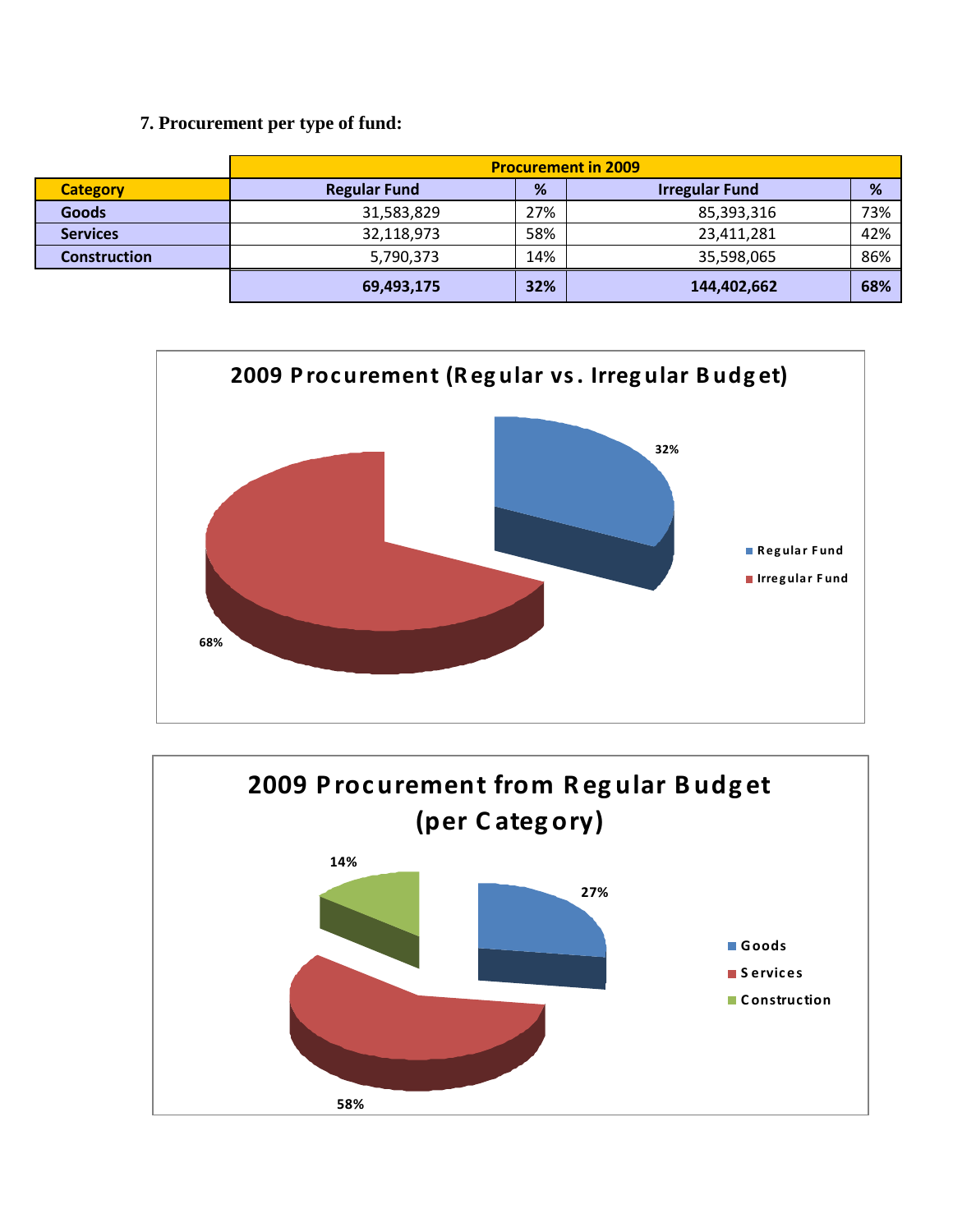### 7. Procurement per type of fund:

|                     | <b>Procurement in 2009</b> |     |                       |     |
|---------------------|----------------------------|-----|-----------------------|-----|
| <b>Category</b>     | <b>Regular Fund</b>        | %   | <b>Irregular Fund</b> | %   |
| <b>Goods</b>        | 31,583,829                 | 27% | 85,393,316            | 73% |
| <b>Services</b>     | 32,118,973                 | 58% | 23,411,281            | 42% |
| <b>Construction</b> | 5,790,373                  | 14% | 35,598,065            | 86% |
|                     | 69,493,175                 | 32% | 144,402,662           | 68% |



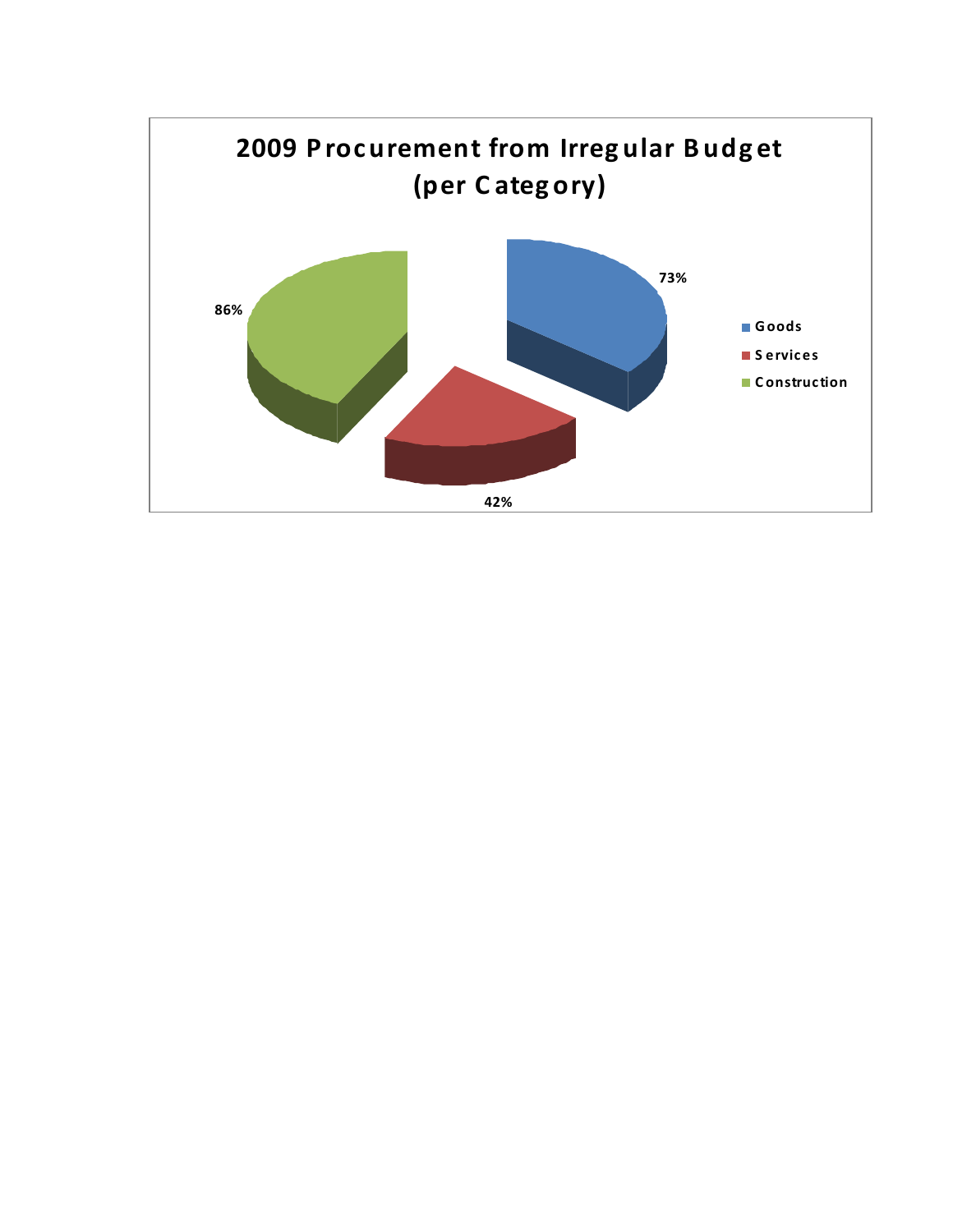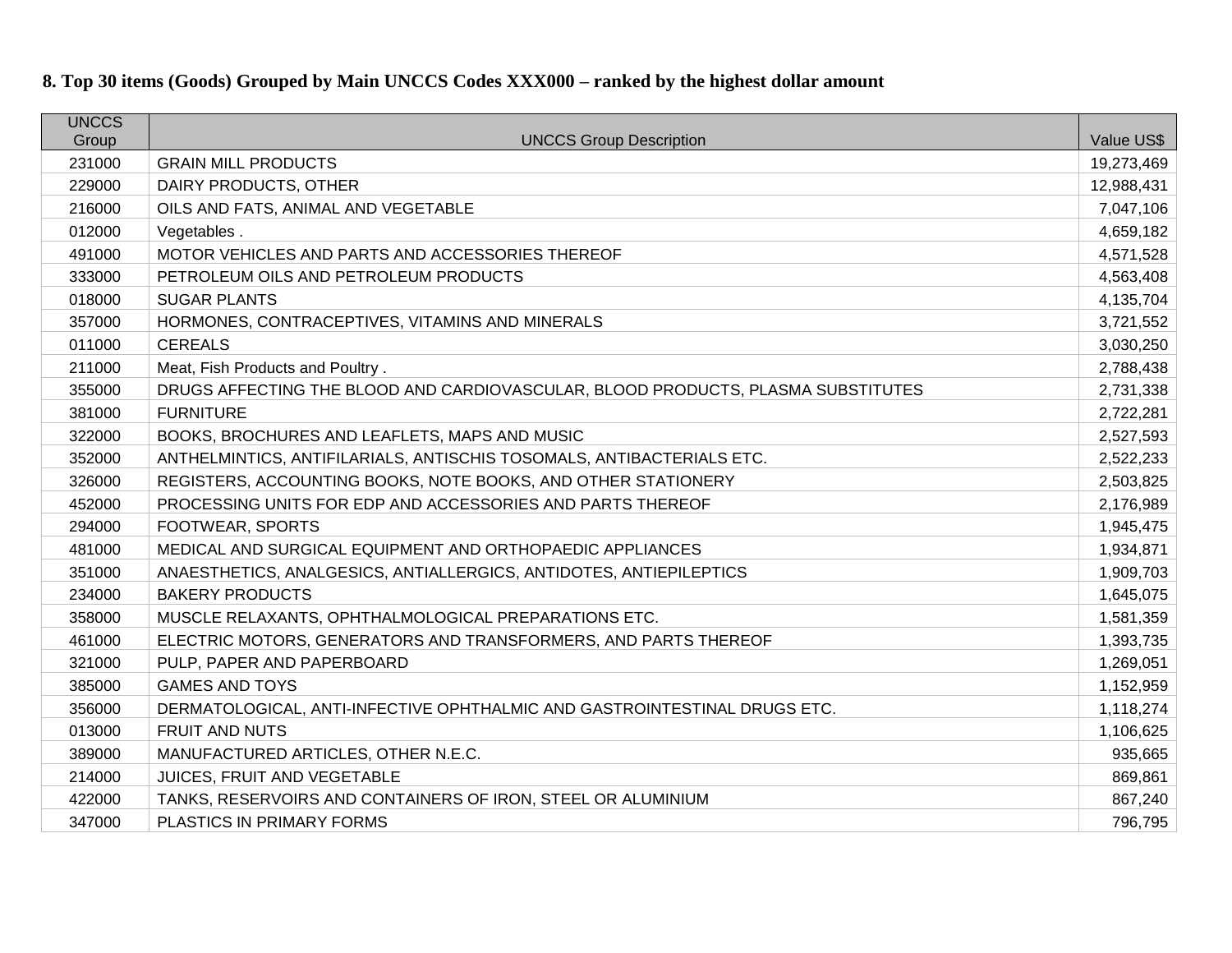# **8. Top 30 items (Goods) Grouped by Main UNCCS Codes XXX000 – ranked by the highest dollar amount**

| <b>UNCCS</b> |                                                                                  |            |
|--------------|----------------------------------------------------------------------------------|------------|
| Group        | <b>UNCCS Group Description</b>                                                   | Value US\$ |
| 231000       | <b>GRAIN MILL PRODUCTS</b>                                                       | 19,273,469 |
| 229000       | DAIRY PRODUCTS, OTHER                                                            | 12,988,431 |
| 216000       | OILS AND FATS, ANIMAL AND VEGETABLE                                              | 7,047,106  |
| 012000       | Vegetables.                                                                      | 4,659,182  |
| 491000       | MOTOR VEHICLES AND PARTS AND ACCESSORIES THEREOF                                 | 4,571,528  |
| 333000       | PETROLEUM OILS AND PETROLEUM PRODUCTS                                            | 4,563,408  |
| 018000       | <b>SUGAR PLANTS</b>                                                              | 4,135,704  |
| 357000       | HORMONES, CONTRACEPTIVES, VITAMINS AND MINERALS                                  | 3,721,552  |
| 011000       | <b>CEREALS</b>                                                                   | 3,030,250  |
| 211000       | Meat, Fish Products and Poultry.                                                 | 2,788,438  |
| 355000       | DRUGS AFFECTING THE BLOOD AND CARDIOVASCULAR, BLOOD PRODUCTS, PLASMA SUBSTITUTES | 2,731,338  |
| 381000       | <b>FURNITURE</b>                                                                 | 2,722,281  |
| 322000       | BOOKS, BROCHURES AND LEAFLETS, MAPS AND MUSIC                                    | 2,527,593  |
| 352000       | ANTHELMINTICS, ANTIFILARIALS, ANTISCHIS TOSOMALS, ANTIBACTERIALS ETC.            | 2,522,233  |
| 326000       | REGISTERS, ACCOUNTING BOOKS, NOTE BOOKS, AND OTHER STATIONERY                    | 2,503,825  |
| 452000       | PROCESSING UNITS FOR EDP AND ACCESSORIES AND PARTS THEREOF                       | 2,176,989  |
| 294000       | FOOTWEAR, SPORTS                                                                 | 1,945,475  |
| 481000       | MEDICAL AND SURGICAL EQUIPMENT AND ORTHOPAEDIC APPLIANCES                        | 1,934,871  |
| 351000       | ANAESTHETICS, ANALGESICS, ANTIALLERGICS, ANTIDOTES, ANTIEPILEPTICS               | 1,909,703  |
| 234000       | <b>BAKERY PRODUCTS</b>                                                           | 1,645,075  |
| 358000       | MUSCLE RELAXANTS, OPHTHALMOLOGICAL PREPARATIONS ETC.                             | 1,581,359  |
| 461000       | ELECTRIC MOTORS, GENERATORS AND TRANSFORMERS, AND PARTS THEREOF                  | 1,393,735  |
| 321000       | PULP, PAPER AND PAPERBOARD                                                       | 1,269,051  |
| 385000       | <b>GAMES AND TOYS</b>                                                            | 1,152,959  |
| 356000       | DERMATOLOGICAL, ANTI-INFECTIVE OPHTHALMIC AND GASTROINTESTINAL DRUGS ETC.        | 1,118,274  |
| 013000       | <b>FRUIT AND NUTS</b>                                                            | 1,106,625  |
| 389000       | MANUFACTURED ARTICLES, OTHER N.E.C.                                              | 935,665    |
| 214000       | JUICES, FRUIT AND VEGETABLE                                                      | 869,861    |
| 422000       | TANKS, RESERVOIRS AND CONTAINERS OF IRON, STEEL OR ALUMINIUM                     | 867,240    |
| 347000       | PLASTICS IN PRIMARY FORMS                                                        | 796,795    |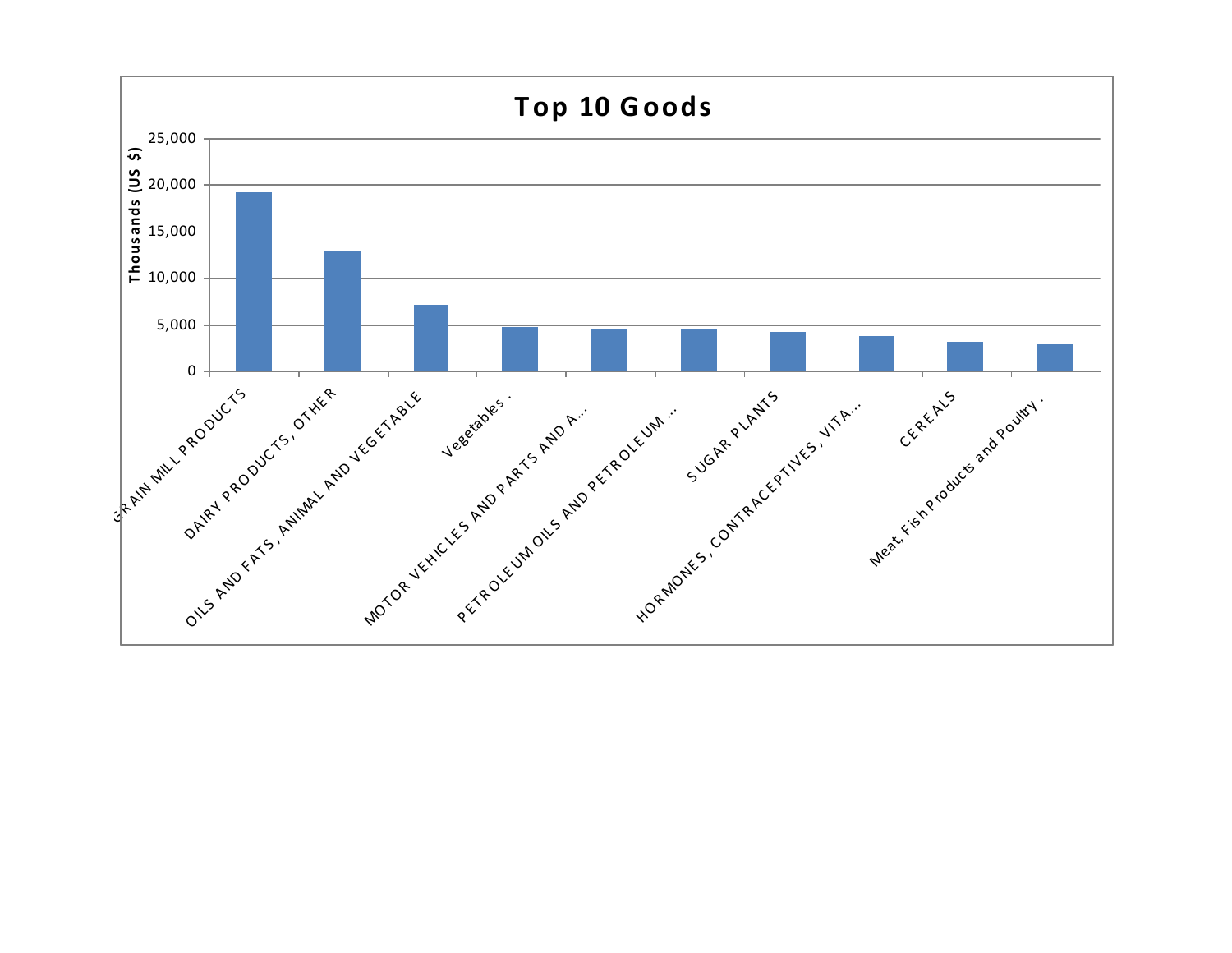